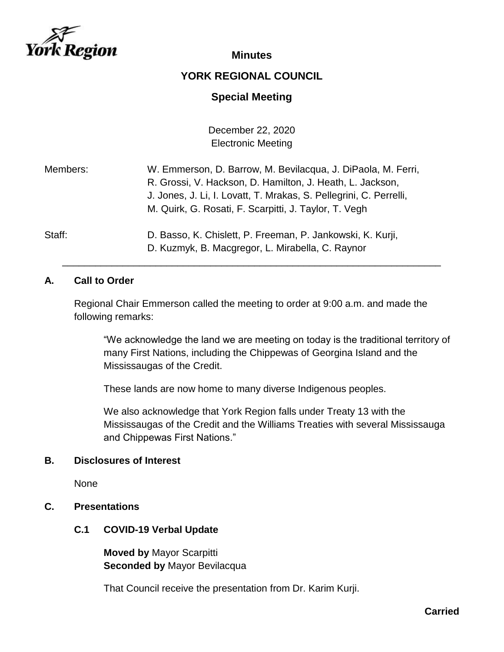

#### **Minutes**

## **YORK REGIONAL COUNCIL**

## **Special Meeting**

December 22, 2020 Electronic Meeting

| Members: | W. Emmerson, D. Barrow, M. Bevilacqua, J. DiPaola, M. Ferri,<br>R. Grossi, V. Hackson, D. Hamilton, J. Heath, L. Jackson,<br>J. Jones, J. Li, I. Lovatt, T. Mrakas, S. Pellegrini, C. Perrelli,<br>M. Quirk, G. Rosati, F. Scarpitti, J. Taylor, T. Vegh |
|----------|----------------------------------------------------------------------------------------------------------------------------------------------------------------------------------------------------------------------------------------------------------|
| Staff:   | D. Basso, K. Chislett, P. Freeman, P. Jankowski, K. Kurji,                                                                                                                                                                                               |

#### **A. Call to Order**

Regional Chair Emmerson called the meeting to order at 9:00 a.m. and made the following remarks:

D. Kuzmyk, B. Macgregor, L. Mirabella, C. Raynor \_\_\_\_\_\_\_\_\_\_\_\_\_\_\_\_\_\_\_\_\_\_\_\_\_\_\_\_\_\_\_\_\_\_\_\_\_\_\_\_\_\_\_\_\_\_\_\_\_\_\_\_\_\_\_\_\_\_\_\_\_\_\_\_\_\_\_\_\_

> "We acknowledge the land we are meeting on today is the traditional territory of many First Nations, including the Chippewas of Georgina Island and the Mississaugas of the Credit.

These lands are now home to many diverse Indigenous peoples.

We also acknowledge that York Region falls under Treaty 13 with the Mississaugas of the Credit and the Williams Treaties with several Mississauga and Chippewas First Nations."

#### **B. Disclosures of Interest**

None

#### **C. Presentations**

#### **C.1 COVID-19 Verbal Update**

**Moved by** Mayor Scarpitti **Seconded by** Mayor Bevilacqua

That Council receive the presentation from Dr. Karim Kurji.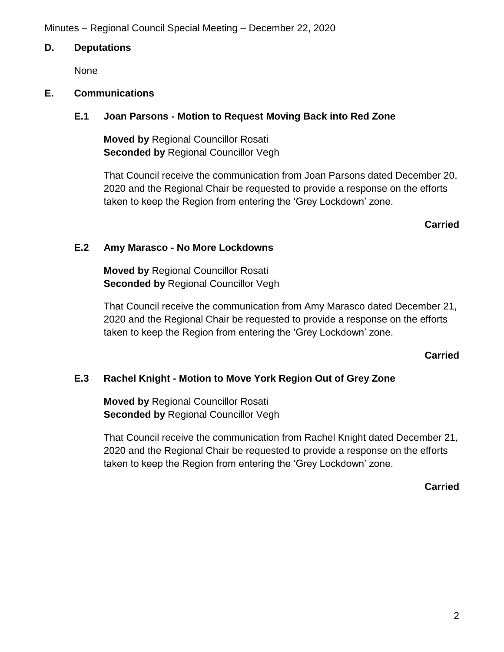#### **D. Deputations**

None

#### **E. Communications**

#### **E.1 Joan Parsons - Motion to Request Moving Back into Red Zone**

**Moved by** Regional Councillor Rosati **Seconded by Regional Councillor Vegh** 

That Council receive the communication from Joan Parsons dated December 20, 2020 and the Regional Chair be requested to provide a response on the efforts taken to keep the Region from entering the 'Grey Lockdown' zone.

**Carried**

#### **E.2 Amy Marasco - No More Lockdowns**

**Moved by** Regional Councillor Rosati **Seconded by** Regional Councillor Vegh

That Council receive the communication from Amy Marasco dated December 21, 2020 and the Regional Chair be requested to provide a response on the efforts taken to keep the Region from entering the 'Grey Lockdown' zone.

#### **Carried**

## **E.3 Rachel Knight - Motion to Move York Region Out of Grey Zone**

**Moved by** Regional Councillor Rosati **Seconded by Regional Councillor Vegh** 

That Council receive the communication from Rachel Knight dated December 21, 2020 and the Regional Chair be requested to provide a response on the efforts taken to keep the Region from entering the 'Grey Lockdown' zone.

#### **Carried**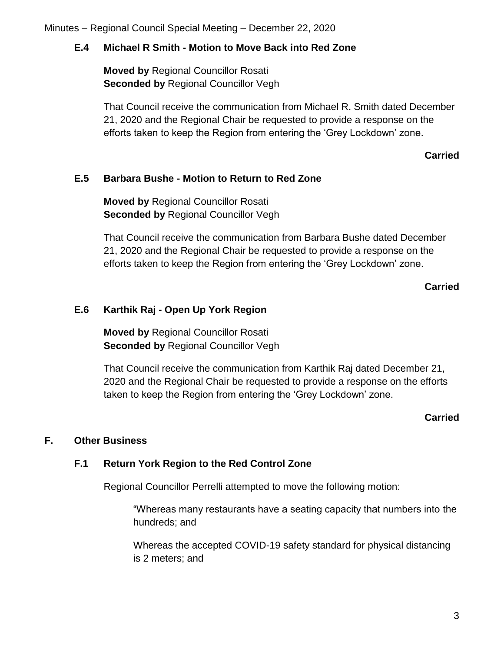## **E.4 Michael R Smith - Motion to Move Back into Red Zone**

**Moved by** Regional Councillor Rosati **Seconded by Regional Councillor Vegh** 

That Council receive the communication from Michael R. Smith dated December 21, 2020 and the Regional Chair be requested to provide a response on the efforts taken to keep the Region from entering the 'Grey Lockdown' zone.

#### **Carried**

## **E.5 Barbara Bushe - Motion to Return to Red Zone**

**Moved by** Regional Councillor Rosati **Seconded by** Regional Councillor Vegh

That Council receive the communication from Barbara Bushe dated December 21, 2020 and the Regional Chair be requested to provide a response on the efforts taken to keep the Region from entering the 'Grey Lockdown' zone.

## **Carried**

## **E.6 Karthik Raj - Open Up York Region**

**Moved by** Regional Councillor Rosati **Seconded by Regional Councillor Vegh** 

That Council receive the communication from Karthik Raj dated December 21, 2020 and the Regional Chair be requested to provide a response on the efforts taken to keep the Region from entering the 'Grey Lockdown' zone.

## **Carried**

## **F. Other Business**

## **F.1 Return York Region to the Red Control Zone**

Regional Councillor Perrelli attempted to move the following motion:

"Whereas many restaurants have a seating capacity that numbers into the hundreds; and

Whereas the accepted COVID-19 safety standard for physical distancing is 2 meters; and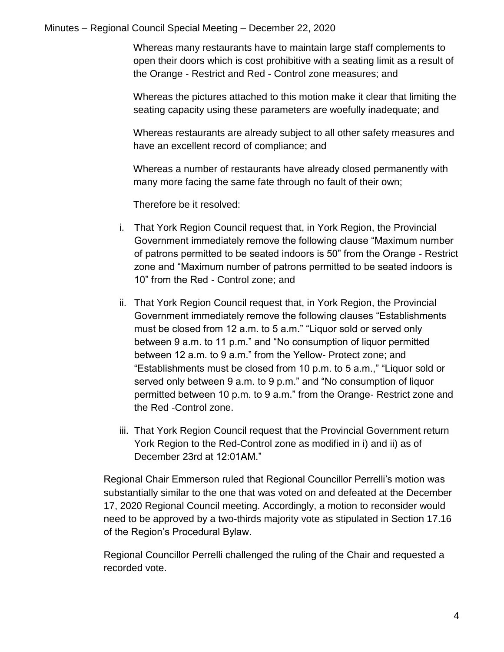Whereas many restaurants have to maintain large staff complements to open their doors which is cost prohibitive with a seating limit as a result of the Orange - Restrict and Red - Control zone measures; and

Whereas the pictures attached to this motion make it clear that limiting the seating capacity using these parameters are woefully inadequate; and

Whereas restaurants are already subject to all other safety measures and have an excellent record of compliance; and

Whereas a number of restaurants have already closed permanently with many more facing the same fate through no fault of their own;

Therefore be it resolved:

- i. That York Region Council request that, in York Region, the Provincial Government immediately remove the following clause "Maximum number of patrons permitted to be seated indoors is 50" from the Orange - Restrict zone and "Maximum number of patrons permitted to be seated indoors is 10" from the Red - Control zone; and
- ii. That York Region Council request that, in York Region, the Provincial Government immediately remove the following clauses "Establishments must be closed from 12 a.m. to 5 a.m." "Liquor sold or served only between 9 a.m. to 11 p.m." and "No consumption of liquor permitted between 12 a.m. to 9 a.m." from the Yellow- Protect zone; and "Establishments must be closed from 10 p.m. to 5 a.m.," "Liquor sold or served only between 9 a.m. to 9 p.m." and "No consumption of liquor permitted between 10 p.m. to 9 a.m." from the Orange- Restrict zone and the Red -Control zone.
- iii. That York Region Council request that the Provincial Government return York Region to the Red-Control zone as modified in i) and ii) as of December 23rd at 12:01AM."

Regional Chair Emmerson ruled that Regional Councillor Perrelli's motion was substantially similar to the one that was voted on and defeated at the December 17, 2020 Regional Council meeting. Accordingly, a motion to reconsider would need to be approved by a two-thirds majority vote as stipulated in Section 17.16 of the Region's Procedural Bylaw.

Regional Councillor Perrelli challenged the ruling of the Chair and requested a recorded vote.